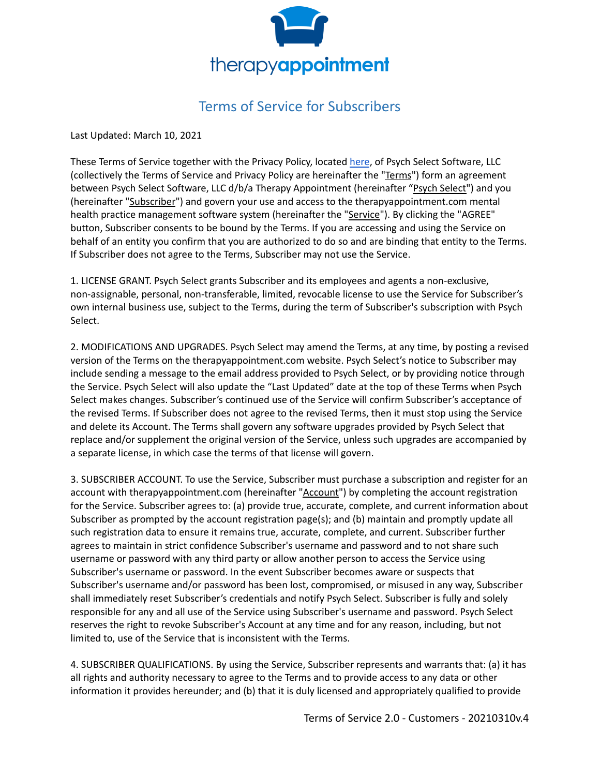

## Terms of Service for Subscribers

Last Updated: March 10, 2021

These Terms of Service together with the Privacy Policy, located [here](https://cdn2.hubspot.net/hubfs/4913696/TherapyAppointment_June2019/Pdf/TherapyAppointment-Privacy-Policy-12-18-2018.pdf), of Psych Select Software, LLC (collectively the Terms of Service and Privacy Policy are hereinafter the "Terms") form an agreement between Psych Select Software, LLC d/b/a Therapy Appointment (hereinafter "Psych Select") and you (hereinafter "Subscriber") and govern your use and access to the therapyappointment.com mental health practice management software system (hereinafter the "Service"). By clicking the "AGREE" button, Subscriber consents to be bound by the Terms. If you are accessing and using the Service on behalf of an entity you confirm that you are authorized to do so and are binding that entity to the Terms. If Subscriber does not agree to the Terms, Subscriber may not use the Service.

1. LICENSE GRANT. Psych Select grants Subscriber and its employees and agents a non-exclusive, non-assignable, personal, non-transferable, limited, revocable license to use the Service for Subscriber's own internal business use, subject to the Terms, during the term of Subscriber's subscription with Psych Select.

2. MODIFICATIONS AND UPGRADES. Psych Select may amend the Terms, at any time, by posting a revised version of the Terms on the therapyappointment.com website. Psych Select's notice to Subscriber may include sending a message to the email address provided to Psych Select, or by providing notice through the Service. Psych Select will also update the "Last Updated" date at the top of these Terms when Psych Select makes changes. Subscriber's continued use of the Service will confirm Subscriber's acceptance of the revised Terms. If Subscriber does not agree to the revised Terms, then it must stop using the Service and delete its Account. The Terms shall govern any software upgrades provided by Psych Select that replace and/or supplement the original version of the Service, unless such upgrades are accompanied by a separate license, in which case the terms of that license will govern.

3. SUBSCRIBER ACCOUNT. To use the Service, Subscriber must purchase a subscription and register for an account with therapyappointment.com (hereinafter "Account") by completing the account registration for the Service. Subscriber agrees to: (a) provide true, accurate, complete, and current information about Subscriber as prompted by the account registration page(s); and (b) maintain and promptly update all such registration data to ensure it remains true, accurate, complete, and current. Subscriber further agrees to maintain in strict confidence Subscriber's username and password and to not share such username or password with any third party or allow another person to access the Service using Subscriber's username or password. In the event Subscriber becomes aware or suspects that Subscriber's username and/or password has been lost, compromised, or misused in any way, Subscriber shall immediately reset Subscriber's credentials and notify Psych Select. Subscriber is fully and solely responsible for any and all use of the Service using Subscriber's username and password. Psych Select reserves the right to revoke Subscriber's Account at any time and for any reason, including, but not limited to, use of the Service that is inconsistent with the Terms.

4. SUBSCRIBER QUALIFICATIONS. By using the Service, Subscriber represents and warrants that: (a) it has all rights and authority necessary to agree to the Terms and to provide access to any data or other information it provides hereunder; and (b) that it is duly licensed and appropriately qualified to provide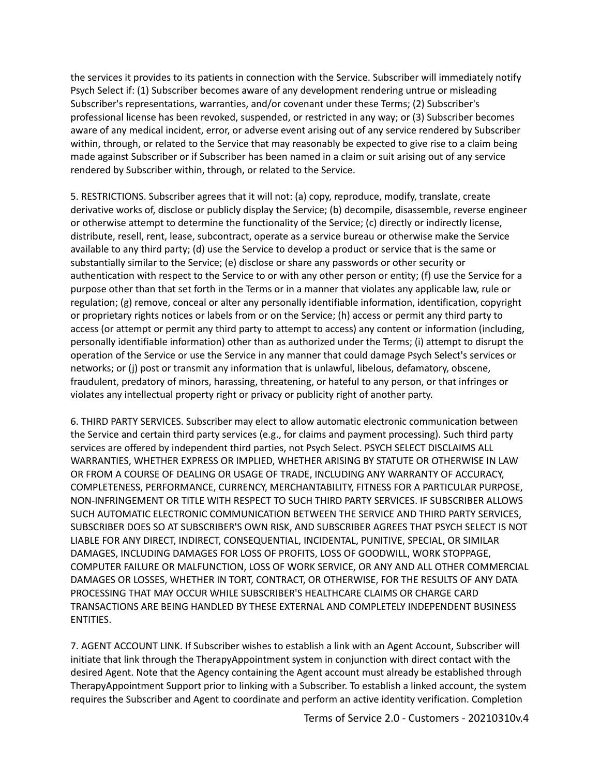the services it provides to its patients in connection with the Service. Subscriber will immediately notify Psych Select if: (1) Subscriber becomes aware of any development rendering untrue or misleading Subscriber's representations, warranties, and/or covenant under these Terms; (2) Subscriber's professional license has been revoked, suspended, or restricted in any way; or (3) Subscriber becomes aware of any medical incident, error, or adverse event arising out of any service rendered by Subscriber within, through, or related to the Service that may reasonably be expected to give rise to a claim being made against Subscriber or if Subscriber has been named in a claim or suit arising out of any service rendered by Subscriber within, through, or related to the Service.

5. RESTRICTIONS. Subscriber agrees that it will not: (a) copy, reproduce, modify, translate, create derivative works of, disclose or publicly display the Service; (b) decompile, disassemble, reverse engineer or otherwise attempt to determine the functionality of the Service; (c) directly or indirectly license, distribute, resell, rent, lease, subcontract, operate as a service bureau or otherwise make the Service available to any third party; (d) use the Service to develop a product or service that is the same or substantially similar to the Service; (e) disclose or share any passwords or other security or authentication with respect to the Service to or with any other person or entity; (f) use the Service for a purpose other than that set forth in the Terms or in a manner that violates any applicable law, rule or regulation; (g) remove, conceal or alter any personally identifiable information, identification, copyright or proprietary rights notices or labels from or on the Service; (h) access or permit any third party to access (or attempt or permit any third party to attempt to access) any content or information (including, personally identifiable information) other than as authorized under the Terms; (i) attempt to disrupt the operation of the Service or use the Service in any manner that could damage Psych Select's services or networks; or (j) post or transmit any information that is unlawful, libelous, defamatory, obscene, fraudulent, predatory of minors, harassing, threatening, or hateful to any person, or that infringes or violates any intellectual property right or privacy or publicity right of another party.

6. THIRD PARTY SERVICES. Subscriber may elect to allow automatic electronic communication between the Service and certain third party services (e.g., for claims and payment processing). Such third party services are offered by independent third parties, not Psych Select. PSYCH SELECT DISCLAIMS ALL WARRANTIES, WHETHER EXPRESS OR IMPLIED, WHETHER ARISING BY STATUTE OR OTHERWISE IN LAW OR FROM A COURSE OF DEALING OR USAGE OF TRADE, INCLUDING ANY WARRANTY OF ACCURACY, COMPLETENESS, PERFORMANCE, CURRENCY, MERCHANTABILITY, FITNESS FOR A PARTICULAR PURPOSE, NON-INFRINGEMENT OR TITLE WITH RESPECT TO SUCH THIRD PARTY SERVICES. IF SUBSCRIBER ALLOWS SUCH AUTOMATIC ELECTRONIC COMMUNICATION BETWEEN THE SERVICE AND THIRD PARTY SERVICES, SUBSCRIBER DOES SO AT SUBSCRIBER'S OWN RISK, AND SUBSCRIBER AGREES THAT PSYCH SELECT IS NOT LIABLE FOR ANY DIRECT, INDIRECT, CONSEQUENTIAL, INCIDENTAL, PUNITIVE, SPECIAL, OR SIMILAR DAMAGES, INCLUDING DAMAGES FOR LOSS OF PROFITS, LOSS OF GOODWILL, WORK STOPPAGE, COMPUTER FAILURE OR MALFUNCTION, LOSS OF WORK SERVICE, OR ANY AND ALL OTHER COMMERCIAL DAMAGES OR LOSSES, WHETHER IN TORT, CONTRACT, OR OTHERWISE, FOR THE RESULTS OF ANY DATA PROCESSING THAT MAY OCCUR WHILE SUBSCRIBER'S HEALTHCARE CLAIMS OR CHARGE CARD TRANSACTIONS ARE BEING HANDLED BY THESE EXTERNAL AND COMPLETELY INDEPENDENT BUSINESS ENTITIES.

7. AGENT ACCOUNT LINK. If Subscriber wishes to establish a link with an Agent Account, Subscriber will initiate that link through the TherapyAppointment system in conjunction with direct contact with the desired Agent. Note that the Agency containing the Agent account must already be established through TherapyAppointment Support prior to linking with a Subscriber. To establish a linked account, the system requires the Subscriber and Agent to coordinate and perform an active identity verification. Completion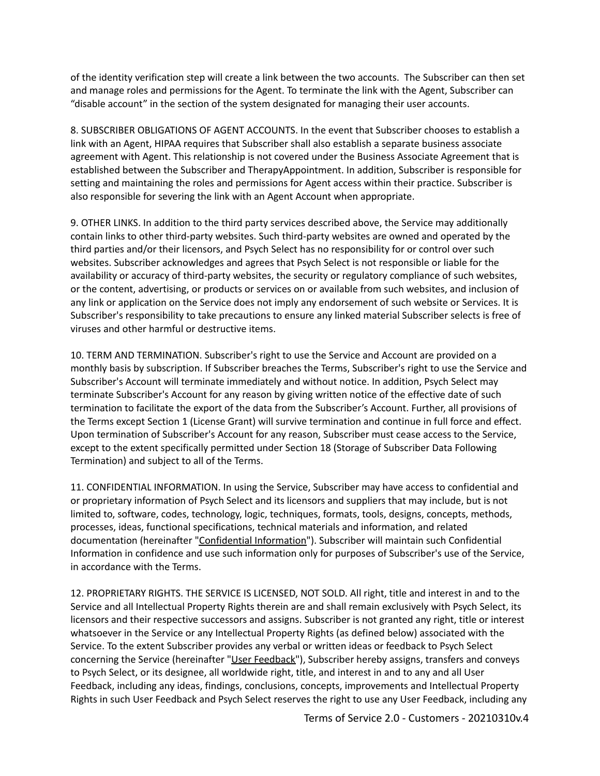of the identity verification step will create a link between the two accounts. The Subscriber can then set and manage roles and permissions for the Agent. To terminate the link with the Agent, Subscriber can "disable account" in the section of the system designated for managing their user accounts.

8. SUBSCRIBER OBLIGATIONS OF AGENT ACCOUNTS. In the event that Subscriber chooses to establish a link with an Agent, HIPAA requires that Subscriber shall also establish a separate business associate agreement with Agent. This relationship is not covered under the Business Associate Agreement that is established between the Subscriber and TherapyAppointment. In addition, Subscriber is responsible for setting and maintaining the roles and permissions for Agent access within their practice. Subscriber is also responsible for severing the link with an Agent Account when appropriate.

9. OTHER LINKS. In addition to the third party services described above, the Service may additionally contain links to other third-party websites. Such third-party websites are owned and operated by the third parties and/or their licensors, and Psych Select has no responsibility for or control over such websites. Subscriber acknowledges and agrees that Psych Select is not responsible or liable for the availability or accuracy of third-party websites, the security or regulatory compliance of such websites, or the content, advertising, or products or services on or available from such websites, and inclusion of any link or application on the Service does not imply any endorsement of such website or Services. It is Subscriber's responsibility to take precautions to ensure any linked material Subscriber selects is free of viruses and other harmful or destructive items.

10. TERM AND TERMINATION. Subscriber's right to use the Service and Account are provided on a monthly basis by subscription. If Subscriber breaches the Terms, Subscriber's right to use the Service and Subscriber's Account will terminate immediately and without notice. In addition, Psych Select may terminate Subscriber's Account for any reason by giving written notice of the effective date of such termination to facilitate the export of the data from the Subscriber's Account. Further, all provisions of the Terms except Section 1 (License Grant) will survive termination and continue in full force and effect. Upon termination of Subscriber's Account for any reason, Subscriber must cease access to the Service, except to the extent specifically permitted under Section 18 (Storage of Subscriber Data Following Termination) and subject to all of the Terms.

11. CONFIDENTIAL INFORMATION. In using the Service, Subscriber may have access to confidential and or proprietary information of Psych Select and its licensors and suppliers that may include, but is not limited to, software, codes, technology, logic, techniques, formats, tools, designs, concepts, methods, processes, ideas, functional specifications, technical materials and information, and related documentation (hereinafter "Confidential Information"). Subscriber will maintain such Confidential Information in confidence and use such information only for purposes of Subscriber's use of the Service, in accordance with the Terms.

12. PROPRIETARY RIGHTS. THE SERVICE IS LICENSED, NOT SOLD. All right, title and interest in and to the Service and all Intellectual Property Rights therein are and shall remain exclusively with Psych Select, its licensors and their respective successors and assigns. Subscriber is not granted any right, title or interest whatsoever in the Service or any Intellectual Property Rights (as defined below) associated with the Service. To the extent Subscriber provides any verbal or written ideas or feedback to Psych Select concerning the Service (hereinafter "User Feedback"), Subscriber hereby assigns, transfers and conveys to Psych Select, or its designee, all worldwide right, title, and interest in and to any and all User Feedback, including any ideas, findings, conclusions, concepts, improvements and Intellectual Property Rights in such User Feedback and Psych Select reserves the right to use any User Feedback, including any

Terms of Service 2.0 - Customers - 20210310v.4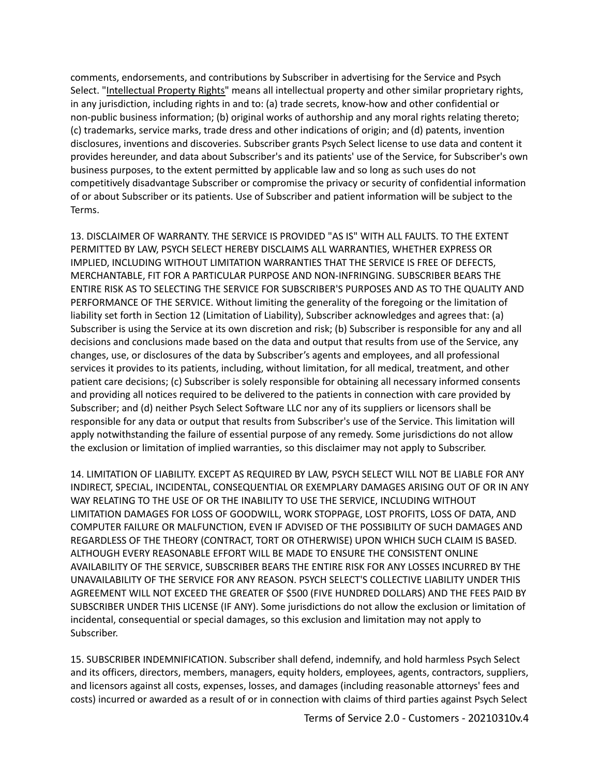comments, endorsements, and contributions by Subscriber in advertising for the Service and Psych Select. "Intellectual Property Rights" means all intellectual property and other similar proprietary rights, in any jurisdiction, including rights in and to: (a) trade secrets, know-how and other confidential or non-public business information; (b) original works of authorship and any moral rights relating thereto; (c) trademarks, service marks, trade dress and other indications of origin; and (d) patents, invention disclosures, inventions and discoveries. Subscriber grants Psych Select license to use data and content it provides hereunder, and data about Subscriber's and its patients' use of the Service, for Subscriber's own business purposes, to the extent permitted by applicable law and so long as such uses do not competitively disadvantage Subscriber or compromise the privacy or security of confidential information of or about Subscriber or its patients. Use of Subscriber and patient information will be subject to the Terms.

13. DISCLAIMER OF WARRANTY. THE SERVICE IS PROVIDED "AS IS" WITH ALL FAULTS. TO THE EXTENT PERMITTED BY LAW, PSYCH SELECT HEREBY DISCLAIMS ALL WARRANTIES, WHETHER EXPRESS OR IMPLIED, INCLUDING WITHOUT LIMITATION WARRANTIES THAT THE SERVICE IS FREE OF DEFECTS, MERCHANTABLE, FIT FOR A PARTICULAR PURPOSE AND NON-INFRINGING. SUBSCRIBER BEARS THE ENTIRE RISK AS TO SELECTING THE SERVICE FOR SUBSCRIBER'S PURPOSES AND AS TO THE QUALITY AND PERFORMANCE OF THE SERVICE. Without limiting the generality of the foregoing or the limitation of liability set forth in Section 12 (Limitation of Liability), Subscriber acknowledges and agrees that: (a) Subscriber is using the Service at its own discretion and risk; (b) Subscriber is responsible for any and all decisions and conclusions made based on the data and output that results from use of the Service, any changes, use, or disclosures of the data by Subscriber's agents and employees, and all professional services it provides to its patients, including, without limitation, for all medical, treatment, and other patient care decisions; (c) Subscriber is solely responsible for obtaining all necessary informed consents and providing all notices required to be delivered to the patients in connection with care provided by Subscriber; and (d) neither Psych Select Software LLC nor any of its suppliers or licensors shall be responsible for any data or output that results from Subscriber's use of the Service. This limitation will apply notwithstanding the failure of essential purpose of any remedy. Some jurisdictions do not allow the exclusion or limitation of implied warranties, so this disclaimer may not apply to Subscriber.

14. LIMITATION OF LIABILITY. EXCEPT AS REQUIRED BY LAW, PSYCH SELECT WILL NOT BE LIABLE FOR ANY INDIRECT, SPECIAL, INCIDENTAL, CONSEQUENTIAL OR EXEMPLARY DAMAGES ARISING OUT OF OR IN ANY WAY RELATING TO THE USE OF OR THE INABILITY TO USE THE SERVICE, INCLUDING WITHOUT LIMITATION DAMAGES FOR LOSS OF GOODWILL, WORK STOPPAGE, LOST PROFITS, LOSS OF DATA, AND COMPUTER FAILURE OR MALFUNCTION, EVEN IF ADVISED OF THE POSSIBILITY OF SUCH DAMAGES AND REGARDLESS OF THE THEORY (CONTRACT, TORT OR OTHERWISE) UPON WHICH SUCH CLAIM IS BASED. ALTHOUGH EVERY REASONABLE EFFORT WILL BE MADE TO ENSURE THE CONSISTENT ONLINE AVAILABILITY OF THE SERVICE, SUBSCRIBER BEARS THE ENTIRE RISK FOR ANY LOSSES INCURRED BY THE UNAVAILABILITY OF THE SERVICE FOR ANY REASON. PSYCH SELECT'S COLLECTIVE LIABILITY UNDER THIS AGREEMENT WILL NOT EXCEED THE GREATER OF \$500 (FIVE HUNDRED DOLLARS) AND THE FEES PAID BY SUBSCRIBER UNDER THIS LICENSE (IF ANY). Some jurisdictions do not allow the exclusion or limitation of incidental, consequential or special damages, so this exclusion and limitation may not apply to Subscriber.

15. SUBSCRIBER INDEMNIFICATION. Subscriber shall defend, indemnify, and hold harmless Psych Select and its officers, directors, members, managers, equity holders, employees, agents, contractors, suppliers, and licensors against all costs, expenses, losses, and damages (including reasonable attorneys' fees and costs) incurred or awarded as a result of or in connection with claims of third parties against Psych Select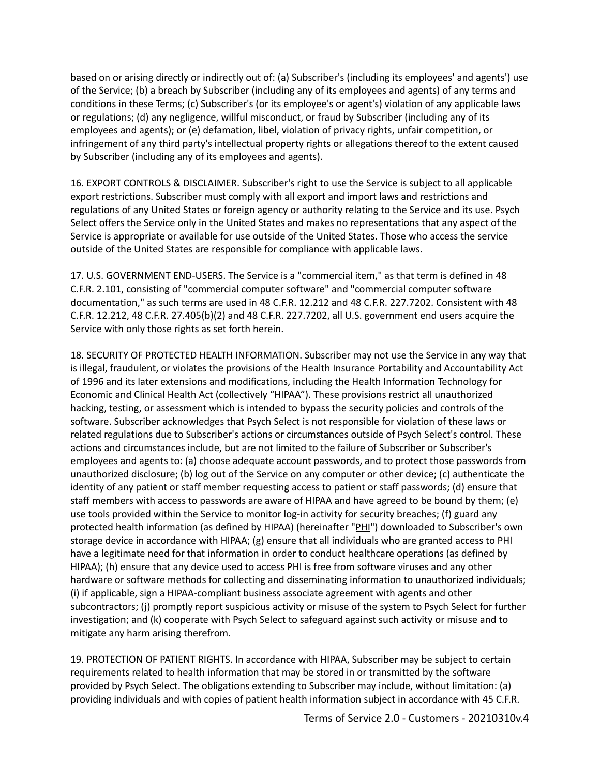based on or arising directly or indirectly out of: (a) Subscriber's (including its employees' and agents') use of the Service; (b) a breach by Subscriber (including any of its employees and agents) of any terms and conditions in these Terms; (c) Subscriber's (or its employee's or agent's) violation of any applicable laws or regulations; (d) any negligence, willful misconduct, or fraud by Subscriber (including any of its employees and agents); or (e) defamation, libel, violation of privacy rights, unfair competition, or infringement of any third party's intellectual property rights or allegations thereof to the extent caused by Subscriber (including any of its employees and agents).

16. EXPORT CONTROLS & DISCLAIMER. Subscriber's right to use the Service is subject to all applicable export restrictions. Subscriber must comply with all export and import laws and restrictions and regulations of any United States or foreign agency or authority relating to the Service and its use. Psych Select offers the Service only in the United States and makes no representations that any aspect of the Service is appropriate or available for use outside of the United States. Those who access the service outside of the United States are responsible for compliance with applicable laws.

17. U.S. GOVERNMENT END-USERS. The Service is a "commercial item," as that term is defined in 48 C.F.R. 2.101, consisting of "commercial computer software" and "commercial computer software documentation," as such terms are used in 48 C.F.R. 12.212 and 48 C.F.R. 227.7202. Consistent with 48 C.F.R. 12.212, 48 C.F.R. 27.405(b)(2) and 48 C.F.R. 227.7202, all U.S. government end users acquire the Service with only those rights as set forth herein.

18. SECURITY OF PROTECTED HEALTH INFORMATION. Subscriber may not use the Service in any way that is illegal, fraudulent, or violates the provisions of the Health Insurance Portability and Accountability Act of 1996 and its later extensions and modifications, including the Health Information Technology for Economic and Clinical Health Act (collectively "HIPAA"). These provisions restrict all unauthorized hacking, testing, or assessment which is intended to bypass the security policies and controls of the software. Subscriber acknowledges that Psych Select is not responsible for violation of these laws or related regulations due to Subscriber's actions or circumstances outside of Psych Select's control. These actions and circumstances include, but are not limited to the failure of Subscriber or Subscriber's employees and agents to: (a) choose adequate account passwords, and to protect those passwords from unauthorized disclosure; (b) log out of the Service on any computer or other device; (c) authenticate the identity of any patient or staff member requesting access to patient or staff passwords; (d) ensure that staff members with access to passwords are aware of HIPAA and have agreed to be bound by them; (e) use tools provided within the Service to monitor log-in activity for security breaches; (f) guard any protected health information (as defined by HIPAA) (hereinafter "PHI") downloaded to Subscriber's own storage device in accordance with HIPAA; (g) ensure that all individuals who are granted access to PHI have a legitimate need for that information in order to conduct healthcare operations (as defined by HIPAA); (h) ensure that any device used to access PHI is free from software viruses and any other hardware or software methods for collecting and disseminating information to unauthorized individuals; (i) if applicable, sign a HIPAA-compliant business associate agreement with agents and other subcontractors; (j) promptly report suspicious activity or misuse of the system to Psych Select for further investigation; and (k) cooperate with Psych Select to safeguard against such activity or misuse and to mitigate any harm arising therefrom.

19. PROTECTION OF PATIENT RIGHTS. In accordance with HIPAA, Subscriber may be subject to certain requirements related to health information that may be stored in or transmitted by the software provided by Psych Select. The obligations extending to Subscriber may include, without limitation: (a) providing individuals and with copies of patient health information subject in accordance with 45 C.F.R.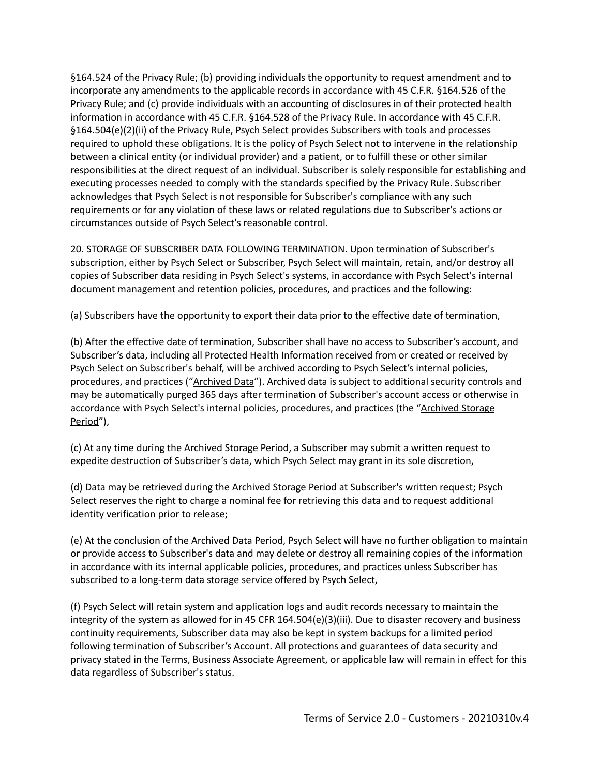§164.524 of the Privacy Rule; (b) providing individuals the opportunity to request amendment and to incorporate any amendments to the applicable records in accordance with 45 C.F.R. §164.526 of the Privacy Rule; and (c) provide individuals with an accounting of disclosures in of their protected health information in accordance with 45 C.F.R. §164.528 of the Privacy Rule. In accordance with 45 C.F.R. §164.504(e)(2)(ii) of the Privacy Rule, Psych Select provides Subscribers with tools and processes required to uphold these obligations. It is the policy of Psych Select not to intervene in the relationship between a clinical entity (or individual provider) and a patient, or to fulfill these or other similar responsibilities at the direct request of an individual. Subscriber is solely responsible for establishing and executing processes needed to comply with the standards specified by the Privacy Rule. Subscriber acknowledges that Psych Select is not responsible for Subscriber's compliance with any such requirements or for any violation of these laws or related regulations due to Subscriber's actions or circumstances outside of Psych Select's reasonable control.

20. STORAGE OF SUBSCRIBER DATA FOLLOWING TERMINATION. Upon termination of Subscriber's subscription, either by Psych Select or Subscriber, Psych Select will maintain, retain, and/or destroy all copies of Subscriber data residing in Psych Select's systems, in accordance with Psych Select's internal document management and retention policies, procedures, and practices and the following:

(a) Subscribers have the opportunity to export their data prior to the effective date of termination,

(b) After the effective date of termination, Subscriber shall have no access to Subscriber's account, and Subscriber's data, including all Protected Health Information received from or created or received by Psych Select on Subscriber's behalf, will be archived according to Psych Select's internal policies, procedures, and practices ("Archived Data"). Archived data is subject to additional security controls and may be automatically purged 365 days after termination of Subscriber's account access or otherwise in accordance with Psych Select's internal policies, procedures, and practices (the "Archived Storage Period"),

(c) At any time during the Archived Storage Period, a Subscriber may submit a written request to expedite destruction of Subscriber's data, which Psych Select may grant in its sole discretion,

(d) Data may be retrieved during the Archived Storage Period at Subscriber's written request; Psych Select reserves the right to charge a nominal fee for retrieving this data and to request additional identity verification prior to release;

(e) At the conclusion of the Archived Data Period, Psych Select will have no further obligation to maintain or provide access to Subscriber's data and may delete or destroy all remaining copies of the information in accordance with its internal applicable policies, procedures, and practices unless Subscriber has subscribed to a long-term data storage service offered by Psych Select,

(f) Psych Select will retain system and application logs and audit records necessary to maintain the integrity of the system as allowed for in 45 CFR 164.504(e)(3)(iii). Due to disaster recovery and business continuity requirements, Subscriber data may also be kept in system backups for a limited period following termination of Subscriber's Account. All protections and guarantees of data security and privacy stated in the Terms, Business Associate Agreement, or applicable law will remain in effect for this data regardless of Subscriber's status.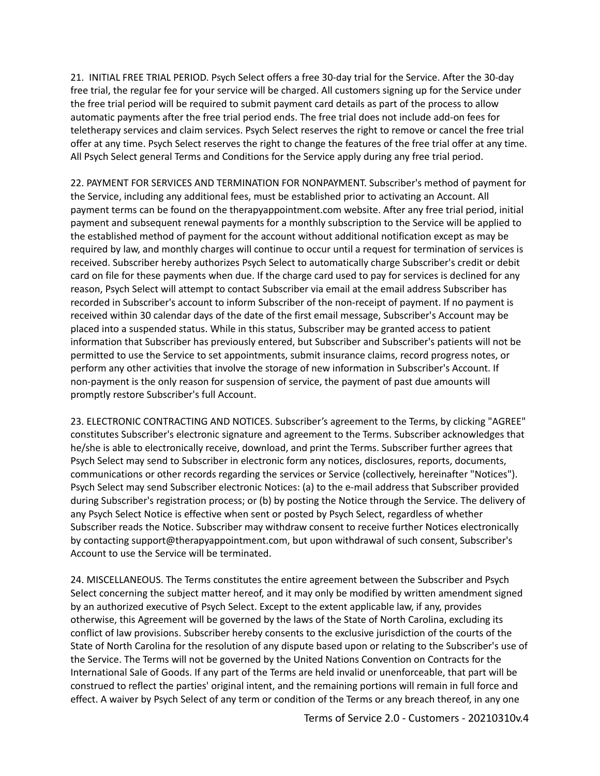21. INITIAL FREE TRIAL PERIOD. Psych Select offers a free 30-day trial for the Service. After the 30-day free trial, the regular fee for your service will be charged. All customers signing up for the Service under the free trial period will be required to submit payment card details as part of the process to allow automatic payments after the free trial period ends. The free trial does not include add-on fees for teletherapy services and claim services. Psych Select reserves the right to remove or cancel the free trial offer at any time. Psych Select reserves the right to change the features of the free trial offer at any time. All Psych Select general Terms and Conditions for the Service apply during any free trial period.

22. PAYMENT FOR SERVICES AND TERMINATION FOR NONPAYMENT. Subscriber's method of payment for the Service, including any additional fees, must be established prior to activating an Account. All payment terms can be found on the therapyappointment.com website. After any free trial period, initial payment and subsequent renewal payments for a monthly subscription to the Service will be applied to the established method of payment for the account without additional notification except as may be required by law, and monthly charges will continue to occur until a request for termination of services is received. Subscriber hereby authorizes Psych Select to automatically charge Subscriber's credit or debit card on file for these payments when due. If the charge card used to pay for services is declined for any reason, Psych Select will attempt to contact Subscriber via email at the email address Subscriber has recorded in Subscriber's account to inform Subscriber of the non-receipt of payment. If no payment is received within 30 calendar days of the date of the first email message, Subscriber's Account may be placed into a suspended status. While in this status, Subscriber may be granted access to patient information that Subscriber has previously entered, but Subscriber and Subscriber's patients will not be permitted to use the Service to set appointments, submit insurance claims, record progress notes, or perform any other activities that involve the storage of new information in Subscriber's Account. If non-payment is the only reason for suspension of service, the payment of past due amounts will promptly restore Subscriber's full Account.

23. ELECTRONIC CONTRACTING AND NOTICES. Subscriber's agreement to the Terms, by clicking "AGREE" constitutes Subscriber's electronic signature and agreement to the Terms. Subscriber acknowledges that he/she is able to electronically receive, download, and print the Terms. Subscriber further agrees that Psych Select may send to Subscriber in electronic form any notices, disclosures, reports, documents, communications or other records regarding the services or Service (collectively, hereinafter "Notices"). Psych Select may send Subscriber electronic Notices: (a) to the e-mail address that Subscriber provided during Subscriber's registration process; or (b) by posting the Notice through the Service. The delivery of any Psych Select Notice is effective when sent or posted by Psych Select, regardless of whether Subscriber reads the Notice. Subscriber may withdraw consent to receive further Notices electronically by contacting support@therapyappointment.com, but upon withdrawal of such consent, Subscriber's Account to use the Service will be terminated.

24. MISCELLANEOUS. The Terms constitutes the entire agreement between the Subscriber and Psych Select concerning the subject matter hereof, and it may only be modified by written amendment signed by an authorized executive of Psych Select. Except to the extent applicable law, if any, provides otherwise, this Agreement will be governed by the laws of the State of North Carolina, excluding its conflict of law provisions. Subscriber hereby consents to the exclusive jurisdiction of the courts of the State of North Carolina for the resolution of any dispute based upon or relating to the Subscriber's use of the Service. The Terms will not be governed by the United Nations Convention on Contracts for the International Sale of Goods. If any part of the Terms are held invalid or unenforceable, that part will be construed to reflect the parties' original intent, and the remaining portions will remain in full force and effect. A waiver by Psych Select of any term or condition of the Terms or any breach thereof, in any one

Terms of Service 2.0 - Customers - 20210310v.4